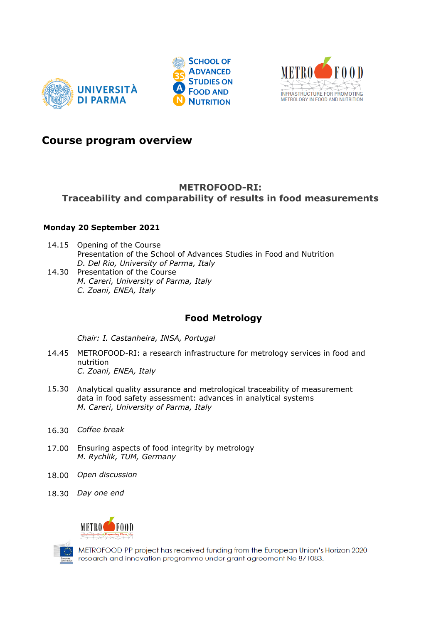





### **Course program overview**

## **METROFOOD-RI:**

#### **Traceability and comparability of results in food measurements**

#### **Monday 20 September 2021**

- 14.15 Opening of the Course Presentation of the School of Advances Studies in Food and Nutrition *D. Del Rio, University of Parma, Italy*
- 14.30 Presentation of the Course *M. Careri, University of Parma, Italy C. Zoani, ENEA, Italy*

# **Food Metrology**

*Chair: I. Castanheira, INSA, Portugal*

- 14.45 METROFOOD-RI: a research infrastructure for metrology services in food and nutrition *C. Zoani, ENEA, Italy*
- 15.30 Analytical quality assurance and metrological traceability of measurement data in food safety assessment: advances in analytical systems *M. Careri, University of Parma, Italy*
- 16.30 *Coffee break*
- 17.00 Ensuring aspects of food integrity by metrology *M. Rychlik, TUM, Germany*
- 18.00 *Open discussion*
- 18.30 *Day one end*



METROFOOD-PP project has received funding from the European Union's Horizon 2020 research and innovation programme under grant agreement No 871083.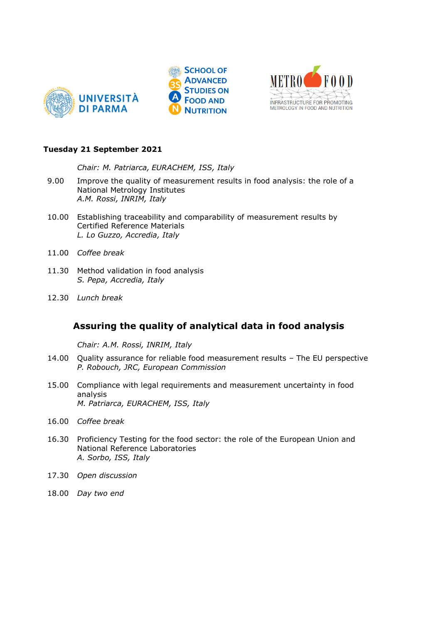





#### **Tuesday 21 September 2021**

*Chair: M. Patriarca, EURACHEM, ISS, Italy* 

- 9.00 Improve the quality of measurement results in food analysis: the role of a National Metrology Institutes *A.M. Rossi, INRIM, Italy*
- 10.00 Establishing traceability and comparability of measurement results by Certified Reference Materials *L. Lo Guzzo, Accredia, Italy*
- 11.00 *Coffee break*
- 11.30 Method validation in food analysis *S. Pepa, Accredia, Italy*
- 12.30 *Lunch break*

### **Assuring the quality of analytical data in food analysis**

*Chair: A.M. Rossi, INRIM, Italy* 

- 14.00 Quality assurance for reliable food measurement results The EU perspective *P. Robouch, JRC, European Commission*
- 15.00 Compliance with legal requirements and measurement uncertainty in food analysis *M. Patriarca, EURACHEM, ISS, Italy*
- 16.00 *Coffee break*
- 16.30 Proficiency Testing for the food sector: the role of the European Union and National Reference Laboratories *A. Sorbo, ISS, Italy*
- 17.30 *Open discussion*
- 18.00 *Day two end*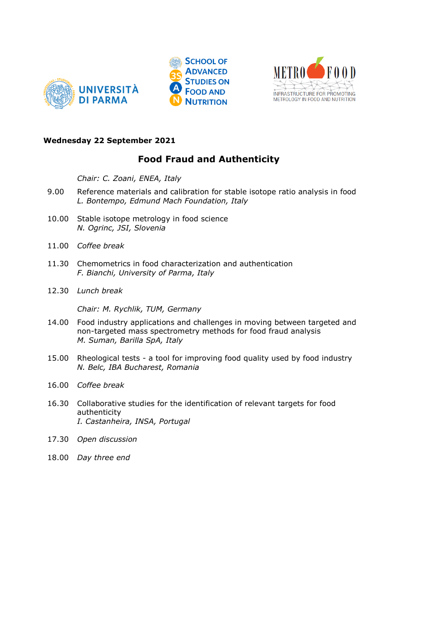





#### **Wednesday 22 September 2021**

## **Food Fraud and Authenticity**

*Chair: C. Zoani, ENEA, Italy*

- 9.00 Reference materials and calibration for stable isotope ratio analysis in food *L. Bontempo, Edmund Mach Foundation, Italy*
- 10.00 Stable isotope metrology in food science *N. Ogrinc, JSI, Slovenia*
- 11.00 *Coffee break*
- 11.30 Chemometrics in food characterization and authentication *F. Bianchi, University of Parma, Italy*
- 12.30 *Lunch break*

*Chair: M. Rychlik, TUM, Germany* 

- 14.00 Food industry applications and challenges in moving between targeted and non-targeted mass spectrometry methods for food fraud analysis *M. Suman, Barilla SpA, Italy*
- 15.00 Rheological tests a tool for improving food quality used by food industry *N. Belc, IBA Bucharest, Romania*
- 16.00 *Coffee break*
- 16.30 Collaborative studies for the identification of relevant targets for food authenticity *I. Castanheira, INSA, Portugal*
- 17.30 *Open discussion*
- 18.00 *Day three end*